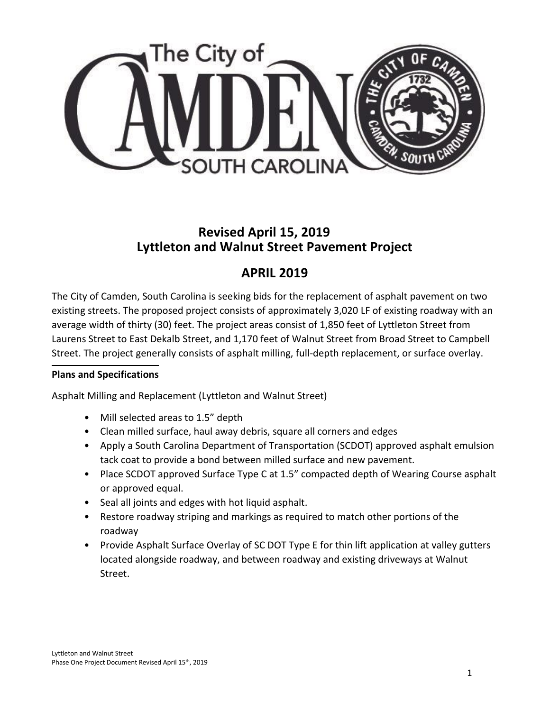

## **Revised April 15, 2019 Lyttleton and Walnut Street Pavement Project**

# **APRIL 2019**

The City of Camden, South Carolina is seeking bids for the replacement of asphalt pavement on two existing streets. The proposed project consists of approximately 3,020 LF of existing roadway with an average width of thirty (30) feet. The project areas consist of 1,850 feet of Lyttleton Street from Laurens Street to East Dekalb Street, and 1,170 feet of Walnut Street from Broad Street to Campbell Street. The project generally consists of asphalt milling, full-depth replacement, or surface overlay.

#### **Plans and Specifications**

Asphalt Milling and Replacement (Lyttleton and Walnut Street)

- Mill selected areas to 1.5" depth
- Clean milled surface, haul away debris, square all corners and edges
- Apply a South Carolina Department of Transportation (SCDOT) approved asphalt emulsion tack coat to provide a bond between milled surface and new pavement.
- Place SCDOT approved Surface Type C at 1.5" compacted depth of Wearing Course asphalt or approved equal.
- Seal all joints and edges with hot liquid asphalt.
- Restore roadway striping and markings as required to match other portions of the roadway
- Provide Asphalt Surface Overlay of SC DOT Type E for thin lift application at valley gutters located alongside roadway, and between roadway and existing driveways at Walnut Street.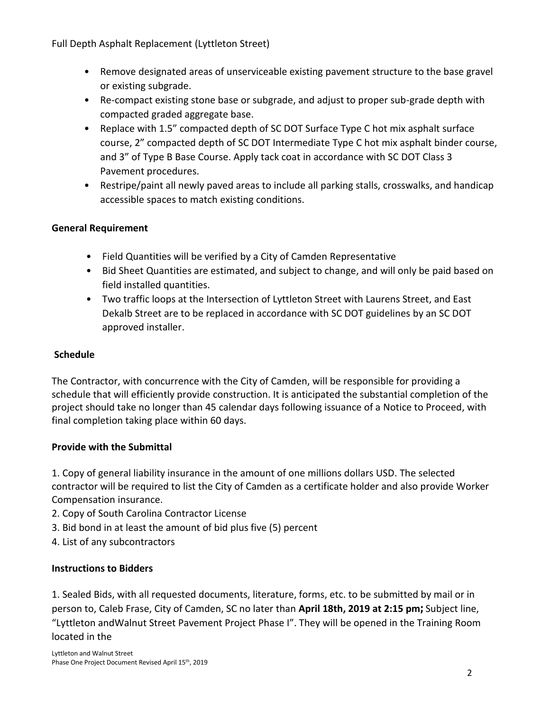Full Depth Asphalt Replacement (Lyttleton Street)

- Remove designated areas of unserviceable existing pavement structure to the base gravel or existing subgrade.
- Re-compact existing stone base or subgrade, and adjust to proper sub-grade depth with compacted graded aggregate base.
- Replace with 1.5" compacted depth of SC DOT Surface Type C hot mix asphalt surface course, 2" compacted depth of SC DOT Intermediate Type C hot mix asphalt binder course, and 3" of Type B Base Course. Apply tack coat in accordance with SC DOT Class 3 Pavement procedures.
- Restripe/paint all newly paved areas to include all parking stalls, crosswalks, and handicap accessible spaces to match existing conditions.

#### **General Requirement**

- Field Quantities will be verified by a City of Camden Representative
- Bid Sheet Quantities are estimated, and subject to change, and will only be paid based on field installed quantities.
- Two traffic loops at the Intersection of Lyttleton Street with Laurens Street, and East Dekalb Street are to be replaced in accordance with SC DOT guidelines by an SC DOT approved installer.

### **Schedule**

The Contractor, with concurrence with the City of Camden, will be responsible for providing a schedule that will efficiently provide construction. It is anticipated the substantial completion of the project should take no longer than 45 calendar days following issuance of a Notice to Proceed, with final completion taking place within 60 days.

### **Provide with the Submittal**

1. Copy of general liability insurance in the amount of one millions dollars USD. The selected contractor will be required to list the City of Camden as a certificate holder and also provide Worker Compensation insurance.

- 2. Copy of South Carolina Contractor License
- 3. Bid bond in at least the amount of bid plus five (5) percent
- 4. List of any subcontractors

#### **Instructions to Bidders**

1. Sealed Bids, with all requested documents, literature, forms, etc. to be submitted by mail or in person to, Caleb Frase, City of Camden, SC no later than **April 18th, 2019 at 2:15 pm;** Subject line, "Lyttleton andWalnut Street Pavement Project Phase I". They will be opened in the Training Room located in the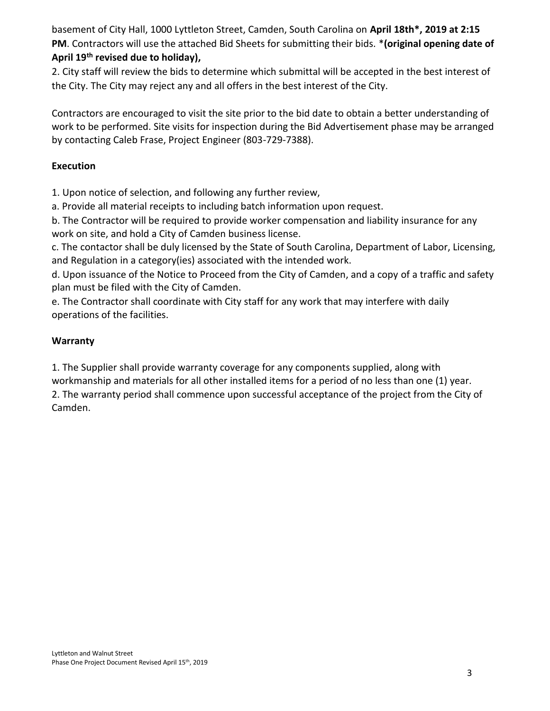basement of City Hall, 1000 Lyttleton Street, Camden, South Carolina on **April 18th\*, 2019 at 2:15 PM**. Contractors will use the attached Bid Sheets for submitting their bids. \***(original opening date of April 19th revised due to holiday),**

2. City staff will review the bids to determine which submittal will be accepted in the best interest of the City. The City may reject any and all offers in the best interest of the City.

Contractors are encouraged to visit the site prior to the bid date to obtain a better understanding of work to be performed. Site visits for inspection during the Bid Advertisement phase may be arranged by contacting Caleb Frase, Project Engineer (803-729-7388).

### **Execution**

1. Upon notice of selection, and following any further review,

a. Provide all material receipts to including batch information upon request.

b. The Contractor will be required to provide worker compensation and liability insurance for any work on site, and hold a City of Camden business license.

c. The contactor shall be duly licensed by the State of South Carolina, Department of Labor, Licensing, and Regulation in a category(ies) associated with the intended work.

d. Upon issuance of the Notice to Proceed from the City of Camden, and a copy of a traffic and safety plan must be filed with the City of Camden.

e. The Contractor shall coordinate with City staff for any work that may interfere with daily operations of the facilities.

### **Warranty**

1. The Supplier shall provide warranty coverage for any components supplied, along with workmanship and materials for all other installed items for a period of no less than one (1) year.

2. The warranty period shall commence upon successful acceptance of the project from the City of Camden.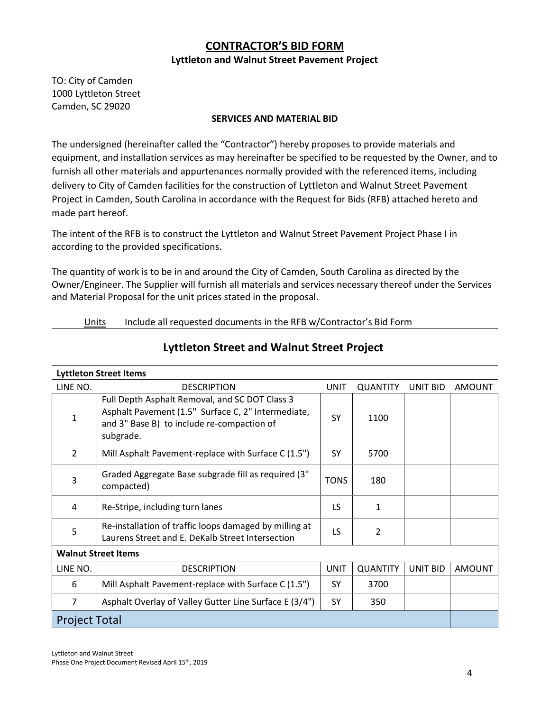## **CONTRACTOR'S BID FORM Lyttleton and Walnut Street Pavement Project**

TO: City of Camden 1000 Lyttleton Street Camden, SC 29020

#### **SERVICES AND MATERIAL BID**

The undersigned (hereinafter called the "Contractor") hereby proposes to provide materials and equipment, and installation services as may hereinafter be specified to be requested by the Owner, and to furnish all other materials and appurtenances normally provided with the referenced items, including delivery to City of Camden facilities for the construction of Lyttleton and Walnut Street Pavement Project in Camden, South Carolina in accordance with the Request for Bids (RFB) attached hereto and made part hereof.

The intent of the RFB is to construct the Lyttleton and Walnut Street Pavement Project Phase I in according to the provided specifications.

The quantity of work is to be in and around the City of Camden, South Carolina as directed by the Owner/Engineer. The Supplier will furnish all materials and services necessary thereof under the Services and Material Proposal for the unit prices stated in the proposal.

#### Units Include all requested documents in the RFB w/Contractor's Bid Form

| <b>Lyttleton Street Items</b> |                                                                                                                                                                 |             |                 |                 |               |  |
|-------------------------------|-----------------------------------------------------------------------------------------------------------------------------------------------------------------|-------------|-----------------|-----------------|---------------|--|
| LINE NO.                      | <b>DESCRIPTION</b>                                                                                                                                              | <b>UNIT</b> | <b>QUANTITY</b> | UNIT BID        | <b>AMOUNT</b> |  |
| 1                             | Full Depth Asphalt Removal, and SC DOT Class 3<br>Asphalt Pavement (1.5" Surface C, 2" Intermediate,<br>and 3" Base B) to include re-compaction of<br>subgrade. | <b>SY</b>   | 1100            |                 |               |  |
| $\overline{2}$                | Mill Asphalt Pavement-replace with Surface C (1.5")                                                                                                             | SY          | 5700            |                 |               |  |
| 3                             | Graded Aggregate Base subgrade fill as required (3"<br>compacted)                                                                                               | <b>TONS</b> | 180             |                 |               |  |
| 4                             | Re-Stripe, including turn lanes                                                                                                                                 | LS          | 1               |                 |               |  |
| 5                             | Re-installation of traffic loops damaged by milling at<br>Laurens Street and E. DeKalb Street Intersection                                                      | LS          | $\overline{2}$  |                 |               |  |
| <b>Walnut Street Items</b>    |                                                                                                                                                                 |             |                 |                 |               |  |
| LINE NO.                      | <b>DESCRIPTION</b>                                                                                                                                              | <b>UNIT</b> | <b>QUANTITY</b> | <b>UNIT BID</b> | <b>AMOUNT</b> |  |
| 6                             | Mill Asphalt Pavement-replace with Surface C (1.5")                                                                                                             | SY          | 3700            |                 |               |  |
| $\overline{7}$                | Asphalt Overlay of Valley Gutter Line Surface E (3/4")                                                                                                          | SY          | 350             |                 |               |  |
| <b>Project Total</b>          |                                                                                                                                                                 |             |                 |                 |               |  |

#### **Lyttleton Street and Walnut Street Project**